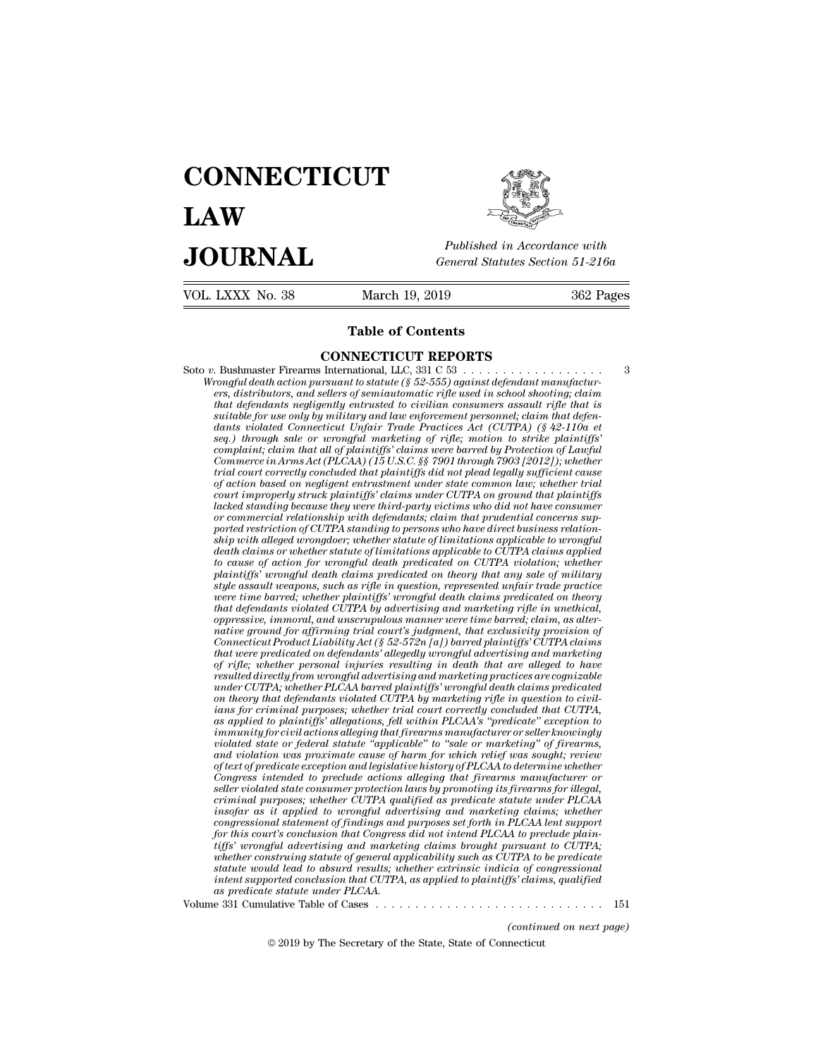# **CONNECTICUT LAW PUBLICE CONNECTICUT**<br> **Published in Accordance with**<br> **JOURNAL** *General Statutes Section 51-216a*<br> **Published in Accordance with**  $\begin{array}{cc}\n\textbf{LAW} & \overbrace{\text{Fubble} \text{m} \text{m}}\n\end{array}$ <br>  $\begin{array}{cc}\n\textbf{JOL RNAL} & \text{Published in According to the General Statistics Section 51-216a} \\
\hline\n\text{VOL LXXX No. 38} & \text{March 19, 2019} & \text{362 Pages}\n\end{array}$ Published in A.<br>
General Statutes<br>
March 19, 2019<br> **Table of Contents**<br> **Table of Contents**



**CONNECTICUT REPORTS** Soto *<sup>v</sup>*. Bushmaster Firearms International, LLC, 331 C 53 . . . . . . . . . . . . . . . . . . <sup>3</sup> **Table of Contents<br>
CONNECTICUT REPORTS**<br> *Wrongful death action pursuant to statute (§ 52-555) against defendant manufactur-<br>
ers, distributors, and sellers of semiautomatic rifle used in school shooting; claim<br>
that defe* **erstep of Contents**<br>**erson connected in Summary CONNECTICUT REPORTS**<br>*ers, distributors, and sellers of semiautomatic rifle used in school shooting; claim*<br>*ers, distributors, and sellers of semiautomatic rifle used in sc* **that defendants consumers in that defendants negligently entried to consumer that defendant action pursuant to statute (§ 52-555) against defendant manufacturers, distributors, and sellers of semiautomatic rifle used in s SUITE FORTS<br>** *Sushmaster Firearms International, LLC, 331 C 53***<br>** *summerly death action pursuant to statute (§ 52-555) against defendant manufacturiers, distributors, and sellers of semiautomatic rifle used in school shoo* **diantly and CONNECTICUT REPORTS**<br> *death action pursuant to statute* (§ 52-555) against defendant manufacturers, distributors, and sellers of semiautomatic rifle used in school shooting; claim<br>
that defendants negligently **Example 11001 RET OR15**<br> **Examplement is defendant marketing in the rational LLC**, 331 C 53<br> *seq.) through sale sale sale of seminationatic rifle used in school shooting; claim<br>
that defendants negligently entrusted to c Complaint for the maximum in that all of plaintiffs* did not be all one of plaints that defendant manifacturers, distributors, and sellers of semiautomatic rifle used in school shooting; claim that defendants negligently *Commerce in Arms Act (Pack action pursuant to statute (§ 52-555) against defendant manufacturers, distributors, and sellers of semiautomatic rifle used in school shooting; claim that defendants negligently entrusted to ci ters, distributors, and sellers of seminautomatic rifle used in school shooting; claim*<br>that defendants negligently entrusted to civilian consumers assault rifle that is<br>suitable for use only by military and law enforceme *of action based on negligently entrusted to cuvitan consumers assault rijle that is* suitable for use only by military and law enforcement personnel; claim that defendants violated Connecticut Unfair Trade Practices Act ( *courtable for use only by multary and law enforcement personnel; claim that defendants violated Connecticut Unfair Trade Practices Act (CUTPA) (§ 42-110a et seq.) through sale or wrongful marketing of rigle; motion to str* dants voolated Connecticut Unfair Trade Practices Act (CUTPA) (§ 42-110a et seq.) through sale or wrongful marketing of rifle; motion to strike plaintiffs' commerce in Arms Act (PLCAA) (15 U.S.C. §§ 7901 through 7903 [2012 *or commercial relationship with defendants; complaint, claim that dul of plaintiffs' claims were barred by Protection of Lawfultions commerce in Arms Act (PLCAA) (15 U.S.C. §§ 7901 through 7903 [2012]); whether trial cour complannt; clarm that all of planntyfs' clarms were barred by Protection of Lawfull Commerce in Arms Act (PLCAA) (15 U.S.C. §§ 7901 through 7903 [2012]); whether trial court correctly concluded that plaintiffs did not p Commerce in Arms Act (PLCAA) (15 U.S.C. §§ 7901 through 7903 [2012]); whether* trial court correctly concluded that plaintiffs did not plead legally sufficient cause of action based on negligent entrustment under state co *death court correctly concluded that planntiffs did not plead legally sufficient cause* of action based on negligent entrustment under state common law; whether trial court improperly struck plaintiffs' claims under CUTPA *tof action based on negligent entrustment under state common law; whether trial*<br>court improperly struck plaintiffs' claims under CUTPA on ground that plaintiffs<br>lacked standing because they were third-party victims who d *plaintiffs* and the plaintiffs' claims under CUTPA on ground that plaintiffs<br>dacked standing because they were third-party victims who did not have consumer<br>or commercial relationship with defendants; claim that prudenti *stacked standing because they were third-party victims who did not have consumer* or commercial relationship with defendants; claim that prudential concerns supported restriction of CUTPA standing to persons who have dire or commercial relationship with defendants; claim that prudential concerns supported restriction of CUTPA standing to persons who have direct business relation-<br>ship with alleged wrongdoer; whether statute of limitations a ported restriction of CUTPA standing to persons who have direct business relationship with alleged wrongdoer; whether statute of limitations applicable to wrongful death claims or whether statute of limitations applicable *oppressive, immoral, whether statute of limitations applicable to wrongfuldeath claims or whether statute of limitations applicable to CUTPA claims applied to claims or whether statute of limitations applied to CUTPA viol aeath claims or whether statute of limitations applicable to CUTPA claims applied* to cause of action for wrongful death predicated on CUTPA violation; whether plaintiffs' wrongful death claims predicated on theory that a *Conse of action for wrongful death predicated on CUTPA violation; whether* plaintiffs' wrongful death claims predicated on theory that any sale of military elses and twe apons, such as rifle in question, represented unfai planntiffs' wrongful death claims predicated on theory that any sale of military<br>style assault weapons, such as rifle in question, represented unfair trade practice<br>were time barred; whether plaintiffs' wrongful death clai *of rightary the assault weapons, such as rifle in question, represented unfair trade practice*<br>were time barred; whether plaintiffs' wrongful death claims predicated on theory<br>that defendants violated CUIPA by advertising *resulted were time barred; whether plaintiffs' wrongful death claims predicated on theory*<br>that defendants violated CUTPA by advertising and marketing rifle in unethical,<br>oppressive, immoral, and unscruptulous manner were *that defendants violated CUTPA by advertising and marketing rifte in unethical, oppressive, immoral, and unscrupulous manner were time barred; claim, as alter-*<br>*Connecticul Prodiffrming trial court's judgment, that exclu oppressive, immoral, and unscrupulous manner were time barred; claim, as alternative ground for affirming trial court's judgment, that exclusivity provision of Connecticut Product Liability Act (§ 52-572n [a]) barred plai ians for affirming trial court's judgment, that exclusivity provision of*<br> *Connecticut Product Liability Act* (§ 52-572n [a]) barred plaintiffs' CUTPA claims<br>
that were predicated on defendants' allegedly wrongful advert *Connecticut Product Liability Act* (§ 52-572n [a]) barred plaintiffs' CUTPA claims<br>that were predicated on defendants' allegedly wrongful advertising and marketing<br>of rifle; whether personal injuries resulting in death th *ihat were predicated on defendants' allegedly wrongful advertising and marketing*<br>of rifle; whether personal injuries resulting in death that are alleged to have<br>resulted directly from wrongful advertising and marketing p *vi viie; whether personal injuries resulting in death that are alteged to have* resulted directly from wrongful advertising and marketing practices are cognizable under CUTPA, whether PLCAA barred plaintiffs' or marketi *and invertly from wrongful advertising and marketing practices are cognizable* under CUTPA; whether PLCAA barred plaintiffs' wrongful death claims predicated correlated correlated correlated call that differed ants violat *of text of predicate PLCAA barred plannty is vrongful death clams predicated* on theory that defendants violated CUTPA by marketing rifle in question to civil-<br>ians for criminal purposes; whether trial court correctly c on theory that defendants volated CUTPA by marketing rifle in question to civilians for criminal purposes; whether trial court correctly concluded that CUTPA, as applied to plaintiffs' allegations, fell within PLCAA's "pre *self to plainting taryooses; whether trad court correctly concluded that CUTPA,* as applied to plaintiffs' allegations, fell within PLCAA's "predicate" exception to inmunuity for civil actions alleging that firearms manuf as applied to plaintly allegations, jell within PLCAA's "predicate" exception to<br>immunity for civil actions alleging that firearms manufacturer or seller knowingly<br>volated state or federal statute "applicable" to "sale or *inmunity for civil actions alleging that firearms manufacturer or seller knowingly*<br>violated state or federal statute "applicable" to "sale or marketing" of firearms,<br>and violation was proximate cause of harm for which re and violation was proximate cause of harm for which relief was sought; review<br>of text of predicate exception and legislative history of PLCAA to determine whether<br>Congress intended to preclude actions alleging that firearm Congress intended to preclude actions alleging that firearms manufacturer or *tiffs'* are different to the predicate exception and legislative history of PLCAA to determine whether Congress intended to preclude actions alleging that firearms manufacturer or consumer protection laws by promoting its Congress intended to preclude actions alleging that firearms manufacturer or seller violated state consumer protection laws by promoting its firearms for illegal, criminal purposes; whether CUTPA qualified as predicate sta *seller vuolated state consumer protection laws by promoting its firearms for illegal,*<br>criminal purposes; whether CUTPA qualified as predicate statute under PLCAA<br>insofar as it applied to wrongful advertising and marketin *criminal purposes; whether CUTPA qualified as predicate statute under PLCAA*<br>*insofar as it applied to wrongful advertising and marketing claims; whether*<br>*for this court's conclusion that Congress did not intend PLCAA to as it applied to wrongful advecongressional statement of findings and for this corrils conclusion that Congress ifffs' wrongful advertising and marketivelener construing statute of general applitude that the would lead to* Unter this court's conclusion that Congress did not intend PLCAA to preclude plain-<br>for this court's conclusion that Congress did not intend PLCAA to preclude plain-<br>tiffs' wrongful advertising and marketing claims brought *distant to COTA*,<br>*CTPA to be predicate*<br>*ia of congressional*<br>*fs'* claims, qualified<br> $\cdots$  151<br>(continued on next page)<br>necticut 2019 by The Secretary of the State, State of Connecticut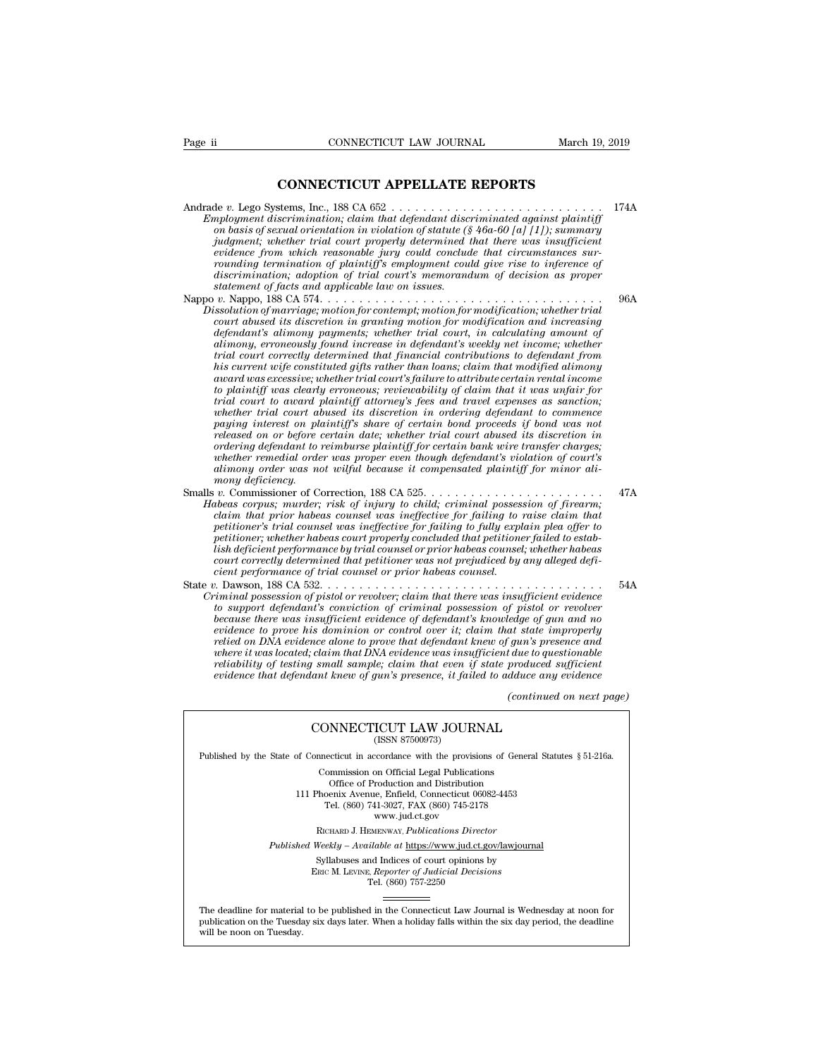CONNECTICUT LAW JOURNAL March 19, 2<br> **CONNECTICUT APPELLATE REPORTS**<br>
stems, Inc., 188 CA 652 Andrade *v.* Lego Systems, Inc., 188 CA 652 . . . . . . . . . . . . . . . . . . . . . . . . . . . 174A *Employment discrimination; claim that defendant discriminated against plaintiff*<br>*Employment discrimination; claim that defendant discriminated against plaintiff*<br>*in that defendant discriminated against plaintiff*<br>*in ba on basis of sexual orientation in violation of statute (§ 46a-60 [a] [1]); summary judgment; whether trial court properly determined that there was insufficient evidence from which reasonable jury could conclude that circumstances surrounding termination of plaintiff's employment could give rise to inference of* de v. Lego Systems, Inc., 188 CA 652<br> *discrimination; claim that defendant discriminated against plaintiff*<br> *on basis of sexual orientation in violation of statute* (§ 46a-60 [a] [1]); summary<br> *judgment; whether trial c* Andrade v. Lego Systems, Inc., 188 CA 652<br> *Employment discrimination; claim that defendant discriminated against plaintiff*<br>
on basis of sexual orientation in violation of statute (§ 46a-60 [a] [1]); summary<br>
judgment; wh *Empoyment asscrimination, carm that asymmetric asscriminated ayarist partition*<br> *on basis of sexual orientation in violation of statute* (§46a-60 [a] [1]); summary<br> *judgment, whether trial court property determined that Dissolution of marriage; motion for contemption for motion for contempt; whether trial court properly determined that there was insufficient* evidence from which reasonable jury could conclude that circumstances sur-<br>roun *court abused is discretion in for motion in the court property determined that circumstances sur-<br>evidence from which reasonable jury could conclude that circumstances sur-<br>rounding termination, adoption of trial court's* 

*definient prom which reasonable jury could conclude that circumstances surfounding termination of plaintiff's employment could give rise to inference of discrimination; adoption of trial court's memorandum of decision as rounding termination of paintiffs employment could give rise to inference of*<br>discrimination; adoption of trial court's memorandum of decision as proper<br>statement of facts and applicable law on issues.<br> $v$ . Nappo, 188 CA *trial court correctly determined that financial court court correctly determined that solution of marriage, motion for contempt; motion for modification, whether trial court abused its discretion in granting motion for mo his current wife constituted gifts rather than loans; claim that modified alimony award was excessive; whether trial court's failure to attribute certain rental income the many of marrage; motion for contempt; motion for modification; whether trad* court abused its discretion in granting motion for modification and increasing defendant's uncously found increase in defendant's weekly net *tourt abused its discretion in granting motion for modification and increasing*<br>defendant's alimony payments; whether trial court, in calculating amount of<br>plaimony, erroneously found increase in defendant is weekly net i *defendant's altmony payments; whether trial court, in calculating amount of*<br>alimony, erroneously found increase in defendant's weekly net income; whether<br>trial court correctly determined that financial contributions to d *paying arroneously found increase in defendants weekly net income; whether* trial court correctly determined that financial contributions to defendant from his current wife constituted afts rather than loans; claim that m *relased relaxit correctly determined that financial contributions to defendant from*<br>his current wife constituted gifts rather than loans; claim that modified alimony<br>award was excessive; whether trial court's failure to *has current wye constituted gytts rather than loans; claim that modified alimony* award was excessive; whether trial court's failure to attribute certain rental income to plaintiff was clearly erroneous; reviewability of *whether was excessive; whether trial court's jailure to attribute certain rental income* to plaintiff was clearly erroneous; reviewability of claim that it was unfair for trial court to award plaintiff attorney's fees and *alimony was clearly erroneous; reviewability of claim that it was unfair formal court to award plaintiff attorney's fees and travel expenses as sanction; whether trial court abused its discretion in ordering defendant to mond court to award 1*<br> *monging interest on plot*<br> *monging interest on plot*<br> *meleased on or before condering defendant to i*<br> *whether remedial order<br>
<i>mony deficiency.*<br> *v.* Commissioner of Conderations.<br> *v.* Commi mether rrut court aboused its discretion in ordering degendant to commence<br>paying interest on plaintiffs share of certain dont proceeds if bond was not<br>released on or before certain date; whether trial court doused its dis *Habeas corpus; murder; risk of infurity is sure of certain bond process if bond was not*<br>released on or before certain date; whether trial court abused its discretion in<br>ordering defendant to reimburse plaintiff for certa *claim to relate on or velore certain date; whether trad court doused its discretion in*<br> *condering defendant to reimburse plaintiff for certain bank wire transfer charges;*<br> *cheher remedial order was proper even though* 

*petitioner's dependent to removerse plaintifff for certain bank were transfer charges;*<br> *petitioner remedial order was proper even though defendant's violation of court's*<br> *pedimony order was not wilful because it compe petitioner was proper even though defendant's violation of court's*<br>*alimony order was not wilful because it compensated plaintiff for minor ali-<br>mony deficiency.*<br>**Smalls** *v.* Commissioner of Correction, 188 CA 525..... *list deficiency*<br> *list deficiency*<br> *list or commissioner of Correction, 188 CA 525.*<br> *list deficiency, murder; risk of injury to child; criminal possession of firearm;*<br> *claim that prior habeas counsel was ineffective Habeas corpus; murder; risk of injury to child; criminal possession of firearm; claim that prior habeas counsel was ineffective for failing to raise claim that petitioner's trial counsel was ineffective for failing to ful cient performance of trial counsel or prior habeas counsel.* Finded that prior habeas counsel was ineffective for failing to several provides the peritioner's trial counsel was ineffective for failing to fully explain plea offer to petitioner; whether habeas count properly concluded *Cation indigency is trial counsel was ineglective for failing to fully explain plea offer to*<br>petitioner; the lateral counsel was ineffective for failing to fully explain plea offer to<br>petitioner; whether habeas count pro *the support of the reader was ineffective for faiting to futy explain pied offer to*<br>petitioner; whether habeas court properly concluded that petitioner failed to estab-<br>lish deficient performance by trial counsel or prio

*becauser, whether habeas court property conculaed that pertitioner jatied to establish deficient performance by trial counsel or prior habeas counsel, whether habeas counsel court correctly determined that petitioner was evish acqueent performance of truat counset or prior naoeas counset, whether naoeas*<br> *ecient correctly determined that petitioner was not prejudiced by any alleged defi-*<br> *eient performance of trial counsel or prior hab relied on DNA evidence alone to prove that defendant is not prepared on any dueged depicant performance of trial counsel or prior habeas counsel.*<br> *Pawson, ISS CA 532.*<br> *riminal possession of pistol or revolver; claim t where it performance of rrial counset or prior nabels counset.*<br> *where independent of pristol or revolver;* claim that there was insufficient evidence<br> *to support defendant's conviction of criminal possession of pistol reliability of testing small sample;* claim that there was insufficient evidence to support defendant's conviction of criminal possession of pistol or revolver because there was insufficient evidence of defendant's knowle *eximinal possession of pistol or revolver; claim that there was insufficient evidence*<br>to support defendant's conviction of criminal possession of pistol or revolver<br>because there was insufficient evidence of defendant's *(edge of gun and no*<br>*at state improperly<br><i>(gun's presence and due to questionable produced sufficient*<br>*dduce any evidence*<br>*(continued on next page)* is dominion or control over it; claim that state improved alone to prove that defendant knew of gun's presenction that DNA evidence was insufficient due to question  $s$  and  $s$  and  $s$  and  $s$  and  $s$  and  $s$  and  $s$  and reliability of testing small sample; claim that even if state produced sufficient<br>evidence that defendant knew of gun's presence, it failed to adduce any evidence<br>(continued on next<br>CONNECTICUT LAW JOURNAL<br>(ISSN 87500973)

Published by the State of Connecticut in accordance with the provisions of General Statutes § 51-216a.

CONNECTICUT LAW JOURNAL<br>
(ISSN 87500973)<br>
inecticut in accordance with the provisions of Gener<br>
Commission on Official Legal Publications<br>
Office of Production and Distribution<br>
office of Production and Distribution **NNECTICUT LAW JOURNAL**<br>
(ISSN 87500973)<br>
cticut in accordance with the provisions of Gener<br>
mmission on Official Legal Publications<br>
Office of Production and Distribution<br>
centra Avenue, Enfield, Connecticut 06082-4453<br>
b CONNECTICUT LAW JOURNAL<br>
(ISSN 87500973)<br>
of Connecticut in accordance with the provisions of General Statu<br>
Commission on Official Legal Publications<br>
Office of Production and Distribution<br>
111 Phoenix Avenue, Enfield, Co (ISSN 87500973)<br>ecticut in accordance with the provisions of Gener<br>ommission on Official Legal Publications<br>Office of Production and Distribution<br>oenix Avenue, Enfield, Connecticut 06082-4453<br>Tel. (860) 741-3027, FAX (860 reordance with the provision<br>on Official Legal Publication<br>roduction and Distribution<br>e, Enfield, Connecticut 06<br>11-3027, FAX (860) 745-21'<br>www.jud.ct.gov<br>zENWAY, *Publications Dire* Rommission on Official Legal Publications<br>
Office of Production and Distribution<br>
Phoenix Avenue, Enfield, Connecticut 06082-4453<br>
Tel. (860) 741-3027, FAX (860) 745-2178<br>
www.jud.ct.gov<br>
RICHARD J. HEMENWAY, *Publications* Office of Production and Distribution<br>
111 Phoenix Avenue, Enfield, Connecticut 06082-4453<br>
Tel. (860) 741-3027, FAX (860) 745-2178<br>
www.jud.ct.gov<br>
RICHARD J. HEMENWAY, *Publications Director*<br> *Published Weekly – Availab* Phoenix Avenue, Enfield, Connecticut 06082-4453<br>
Tel. (860) 741-3027, FAX (860) 745-2178<br>
www.jud.ct.gov<br>
RICHARD J. HEMENWAY, *Publications Director*<br>
Weekly – Available at <u>https://www.jud.ct.gov/lawjourna</u><br>
Syllabuses a

 $\begin{array}{c} \text{www. jud.ct.gov} \\ \text{RICHARD J. HEMENTway, *Publications Director} \\ \text{Weekly -- Available at \underline{https://www.jud.ct.gov/}{\text{Syllabuses and Indices of court opinions by} \\ \text{Enc}\text{ M. LexING. } \text{Reporter of \text{Judicial Decisions} \\ \text{Tel. } (860) 757-2250 \end{array}*$ 

Published Weekly – Available at https://www.jud.ct.gov/lawjournal<br>Syllabuses and Indices of court opinions by<br>ERIC M. LEVINE, Reporter of Judicial Decisions<br>The deadline for material to be published in the Connecticut Law  $\begin{tabular}{l} \bf Syllabuses\ and\ Indices\ of\ court\ opinions\ by\\ \bf Enc\ M.\ LevINE,\ \textit{Reporter of\ Judicial\ Decisions}\\ \bf Tel.\ (860)\ 757-2250\\ \end{tabular}$  <br> The deadline for material to be published in the Connecticut Law Journal is Wednesday at noon for publication on the Tuesday six days later The deadline for material<br>publication on the Tuesday.<br>will be noon on Tuesday.